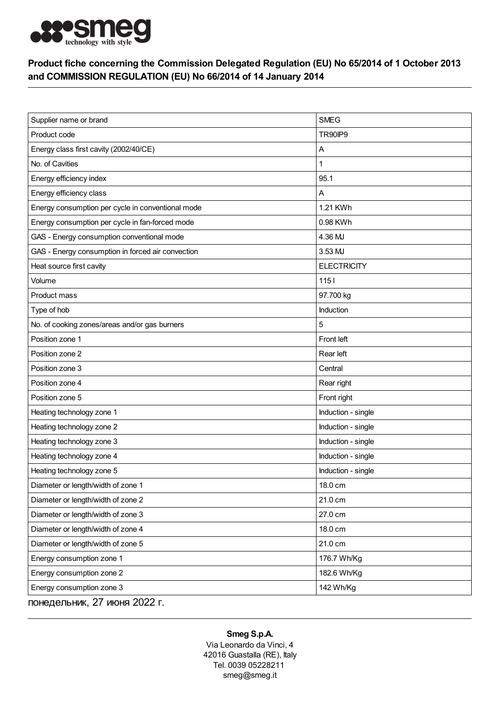

## Product fiche concerning the Commission Delegated Regulation (EU) No 65/2014 of 1 October 2013 and COMMISSION REGULATION (EU) No 66/2014 of 14 January 2014

| Supplier name or brand                            | <b>SMEG</b>        |
|---------------------------------------------------|--------------------|
| Product code                                      | TR90IP9            |
| Energy class first cavity (2002/40/CE)            | Α                  |
| No. of Cavities                                   | 1                  |
| Energy efficiency index                           | 95.1               |
| Energy efficiency class                           | Α                  |
| Energy consumption per cycle in conventional mode | 1.21 KWh           |
| Energy consumption per cycle in fan-forced mode   | 0.98 KWh           |
| GAS - Energy consumption conventional mode        | 4.36 MJ            |
| GAS - Energy consumption in forced air convection | 3.53 MJ            |
| Heat source first cavity                          | <b>ELECTRICITY</b> |
| Volume                                            | $1151$             |
| Product mass                                      | 97.700 kg          |
| Type of hob                                       | Induction          |
| No. of cooking zones/areas and/or gas burners     | 5                  |
| Position zone 1                                   | Front left         |
| Position zone 2                                   | Rear left          |
| Position zone 3                                   | Central            |
| Position zone 4                                   | Rear right         |
| Position zone 5                                   | Front right        |
| Heating technology zone 1                         | Induction - single |
| Heating technology zone 2                         | Induction - single |
| Heating technology zone 3                         | Induction - single |
| Heating technology zone 4                         | Induction - single |
| Heating technology zone 5                         | Induction - single |
| Diameter or length/width of zone 1                | 18.0 cm            |
| Diameter or length/width of zone 2                | 21.0 cm            |
| Diameter or length/width of zone 3                | 27.0 cm            |
| Diameter or length/width of zone 4                | 18.0 cm            |
| Diameter or length/width of zone 5                | 21.0 cm            |
| Energy consumption zone 1                         | 176.7 Wh/Kg        |
| Energy consumption zone 2                         | 182.6 Wh/Kg        |
| Energy consumption zone 3                         | 142 Wh/Kg          |
| понедельник, 27 июня 2022 г.                      |                    |

## Smeg S.p.A.

Via Leonardo da Vinci, 4 42016 Guastalla (RE), Italy Tel. 0039 05228211 smeg@smeg.it